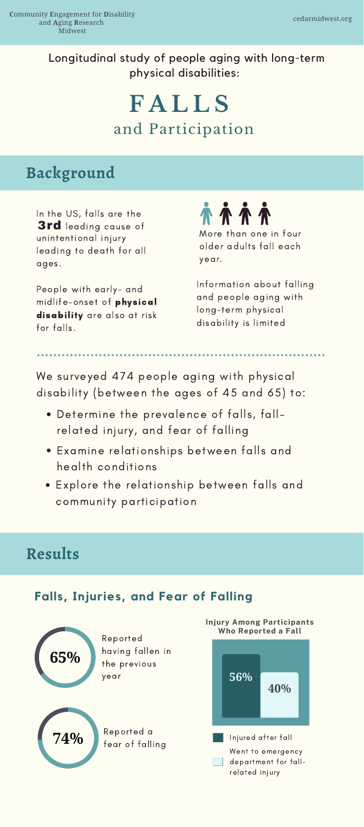More than one in four older adults fall each year.

# and Participation **F A L L S**

People with early- and midlife-onset of physical disability are also at risk for falls.



Information about falling and people aging with long-term physical disability is limited

In the US, falls are the 3rd leading cause of unintentional injury leading to death for all ages.

- Determine the prevalence of falls, fallrelated injury, and fear of falling
- Examine relationships between falls and health conditions
- Explore the relationship between falls and

We surveyed 474 people aging with physical disability (between the ages of 45 and 65) to:

## **Background**

Longitudinal study of people aging with long-term physical disabilities:

community participation



#### **Falls, Injuries, and Fear of Falling**



Reported having fallen in the previous year



**74%** fear of falling Reported a

Went to emergency department for fallrelated injury



**Injury Among Participants Who Reported a Fall**